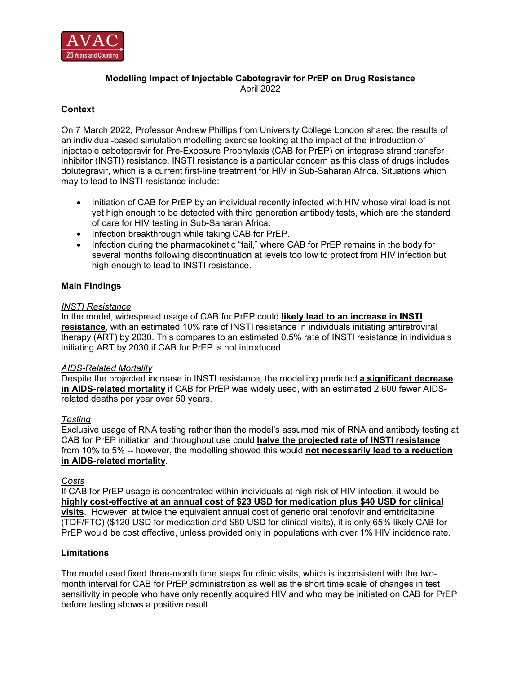

# **Modelling Impact of Injectable Cabotegravir for PrEP on Drug Resistance** April 2022

# **Context**

On 7 March 2022, Professor Andrew Phillips from University College London shared the results of an individual-based simulation modelling exercise looking at the impact of the introduction of injectable cabotegravir for Pre-Exposure Prophylaxis (CAB for PrEP) on integrase strand transfer inhibitor (INSTI) resistance. INSTI resistance is a particular concern as this class of drugs includes dolutegravir, which is a current first-line treatment for HIV in Sub-Saharan Africa. Situations which may to lead to INSTI resistance include:

- Initiation of CAB for PrEP by an individual recently infected with HIV whose viral load is not yet high enough to be detected with third generation antibody tests, which are the standard of care for HIV testing in Sub-Saharan Africa.
- Infection breakthrough while taking CAB for PrEP.
- Infection during the pharmacokinetic "tail," where CAB for PrEP remains in the body for several months following discontinuation at levels too low to protect from HIV infection but high enough to lead to INSTI resistance.

# **Main Findings**

#### *INSTI Resistance*

In the model, widespread usage of CAB for PrEP could **likely lead to an increase in INSTI resistance**, with an estimated 10% rate of INSTI resistance in individuals initiating antiretroviral therapy (ART) by 2030. This compares to an estimated 0.5% rate of INSTI resistance in individuals initiating ART by 2030 if CAB for PrEP is not introduced.

### *AIDS-Related Mortality*

Despite the projected increase in INSTI resistance, the modelling predicted **a significant decrease in AIDS-related mortality** if CAB for PrEP was widely used, with an estimated 2,600 fewer AIDSrelated deaths per year over 50 years.

### *Testing*

Exclusive usage of RNA testing rather than the model's assumed mix of RNA and antibody testing at CAB for PrEP initiation and throughout use could **halve the projected rate of INSTI resistance** from 10% to 5% -- however, the modelling showed this would **not necessarily lead to a reduction in AIDS-related mortality**.

### *Costs*

If CAB for PrEP usage is concentrated within individuals at high risk of HIV infection, it would be **highly cost-effective at an annual cost of \$23 USD for medication plus \$40 USD for clinical visits**. However, at twice the equivalent annual cost of generic oral tenofovir and emtricitabine (TDF/FTC) (\$120 USD for medication and \$80 USD for clinical visits), it is only 65% likely CAB for PrEP would be cost effective, unless provided only in populations with over 1% HIV incidence rate.

### **Limitations**

The model used fixed three-month time steps for clinic visits, which is inconsistent with the twomonth interval for CAB for PrEP administration as well as the short time scale of changes in test sensitivity in people who have only recently acquired HIV and who may be initiated on CAB for PrEP before testing shows a positive result.